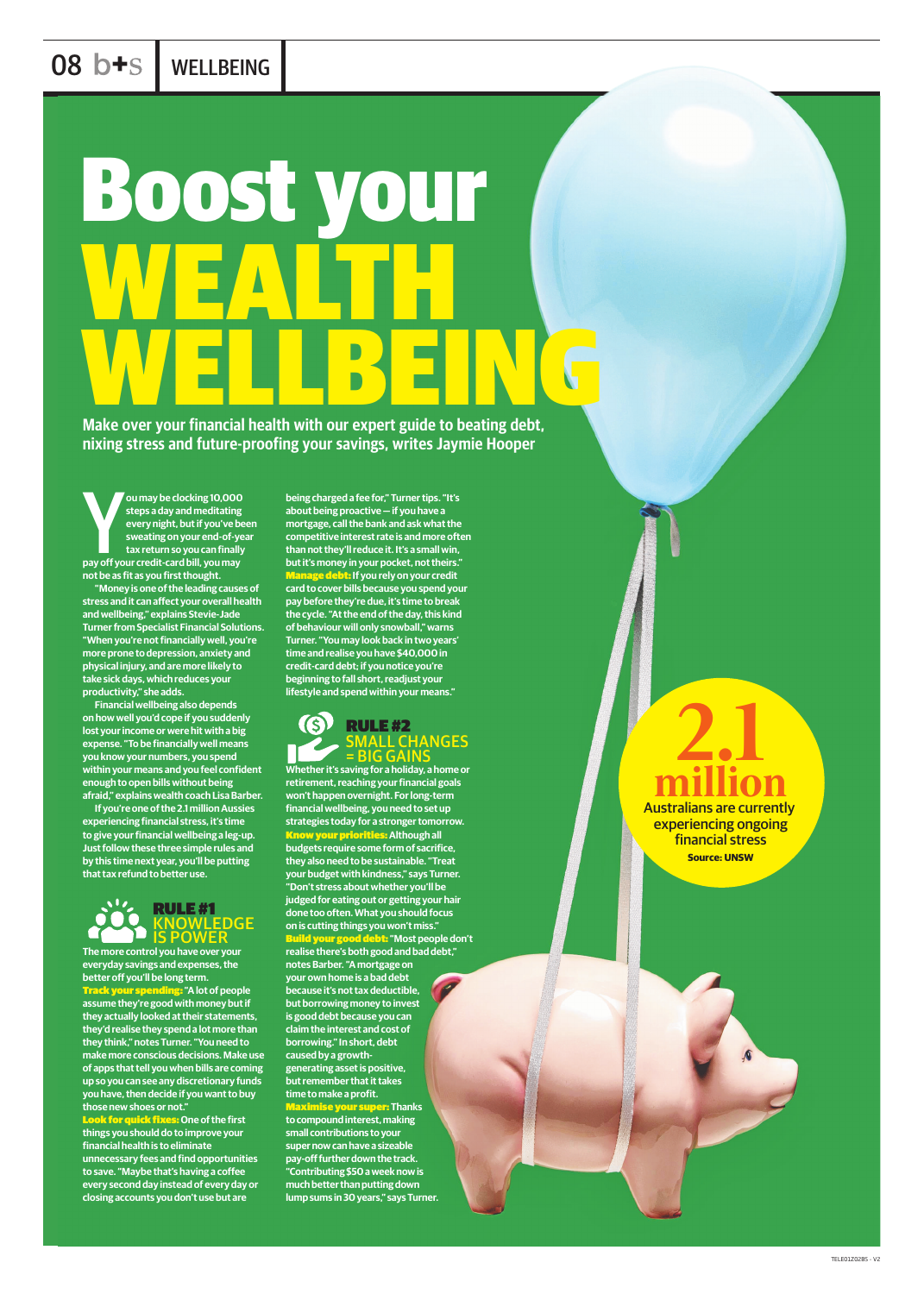## 08 b+s | WELLBEING

# Boost your WEALTH WELDENG

**Make over your financial health with our expert guide to beating debt, nixing stress and future-proofing your savings, writes Jaymie Hooper**



**The more control you have over your everyday savings and expenses, the better off you'll be long term.**  Track your spending: **"A lot of people assume they're good with money but if they actually looked at their statements, they'd realise they spend a lot more than they think," notes Turner. "You need to make more conscious decisions. Make use of apps that tell you when bills are coming up so you can see any discretionary funds you have, then decide if you want to buy those new shoes or not."** Look for quick fixes: **One of the first things you should do to improve your financial health is to eliminate unnecessary fees and find opportunities to save. "Maybe that's having a coffee every second day instead of every day or closing accounts you don't use but are** 

#### RULE #2 **MALL CHANGES BIG GAINS**

**being charged a fee for," Turner tips. "It's about being proactive — if you have a mortgage, call the bank and ask what the competitive interest rate is and more often than not they'll reduce it. It's a small win, but it's money in your pocket, not theirs."** Manage debt: **If you rely on your credit card to cover bills because you spend your pay before they're due, it's time to break the cycle. "At the end of the day, this kind of behaviour will only snowball," warns Turner. "You may look back in two years' time and realise you have \$40,000 in credit-card debt; if you notice you're beginning to fall short, readjust your lifestyle and spend within your means."**

**Pay ou may be clocking 10,000**<br>steps a day and meditating<br>every night, but if you've b<br>sweating on your end-of-ye<br>tax return so you can finally<br>pay off your credit-card bill, you may **ou may be clocking 10,000 steps a day and meditating every night, but if you've been sweating on your end-of-year tax return so you can finally not be as fit as you first thought.**

> **Whether it's saving for a holiday, a home or retirement, reaching your financial goals won't happen overnight. For long-term financial wellbeing, you need to set up strategies today for a stronger tomorrow.** Know your priorities: **Although all budgets require some form of sacrifice, they also need to be sustainable. "Treat your budget with kindness," says Turner. "Don't stress about whether you'll be judged for eating out or getting your hair done too often. What you should focus on is cutting things you won't miss."**  Build your good debt: **"Most people don't realise there's both good and bad debt," notes Barber. "A mortgage on your own home is a bad debt because it's not tax deductible, but borrowing money to invest is good debt because you can claim the interest and cost of borrowing." In short, debt caused by a growthgenerating asset is positive, but remember that it takes time to make a profit.** Maximise your super: **Thanks to compound interest, making small contributions to your super now can have a sizeable pay-off further down the track. "Contributing \$50 a week now is much better than putting down lump sums in 30 years," says Turner.**

 2.1 million Australians are currently experiencing ongoing financial stress

**Source: UNSW**



**"Money is one of the leading causes of stress and it can affect your overall health and wellbeing," explains Stevie-Jade Turner from Specialist Financial Solutions. "When you're not financially well, you're more prone to depression, anxiety and physical injury, and are more likely to take sick days, which reduces your productivity," she adds.**

**Financial wellbeing also depends on how well you'd cope if you suddenly lost your income or were hit with a big expense. "To be financially well means you know your numbers, you spend within your means and you feel confident enough to open bills without being afraid," explains wealth coach Lisa Barber.** 

**If you're one of the 2.1 million Aussies experiencing financial stress, it's time to give your financial wellbeing a leg-up. Just follow these three simple rules and by this time next year, you'll be putting that tax refund to better use.**